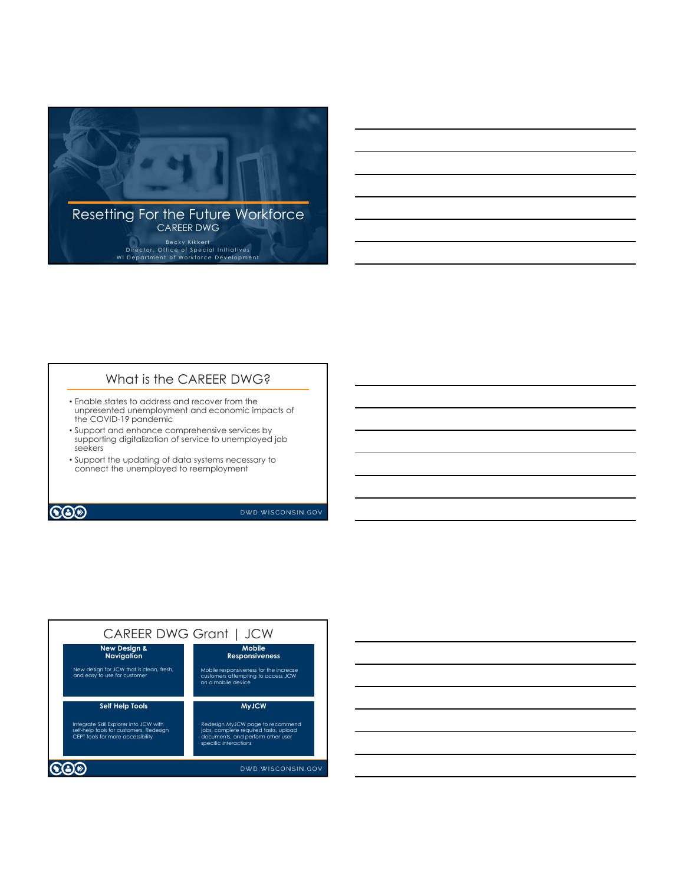

## What is the CAREER DWG?

- Enable states to address and recover from the unpresented unemployment and economic impacts of the COVID-19 pandemic
- Support and enhance comprehensive services by supporting digitalization of service to unemployed job seekers
- Support the updating of data systems necessary to connect the unemployed to reemployment

**COD** 

DWD.WISCONSIN.GOV



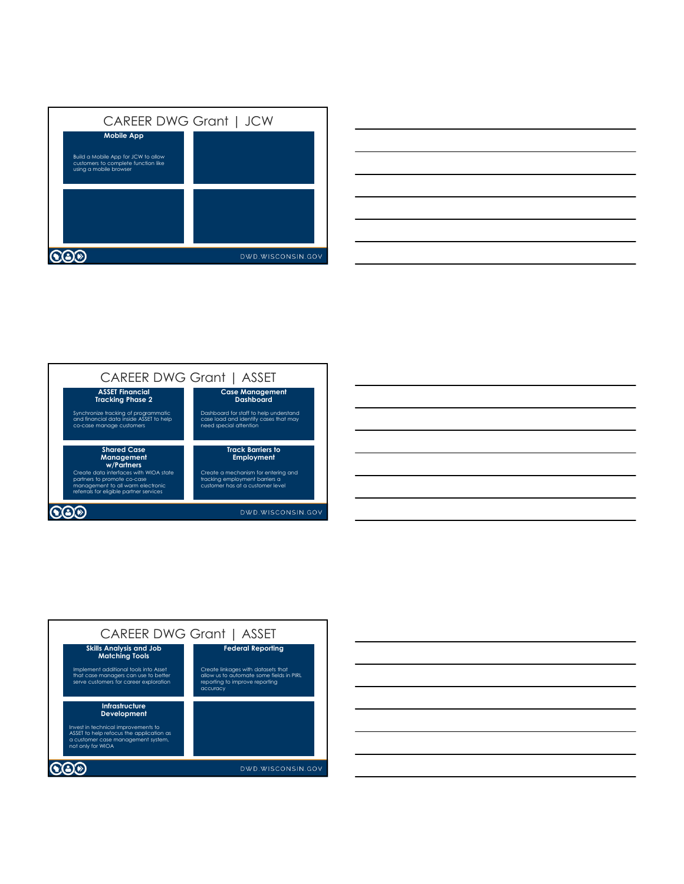

|                                                                                                                                                                                                                                                                                                                                                                                                                                                                            |  | ______ |        |
|----------------------------------------------------------------------------------------------------------------------------------------------------------------------------------------------------------------------------------------------------------------------------------------------------------------------------------------------------------------------------------------------------------------------------------------------------------------------------|--|--------|--------|
|                                                                                                                                                                                                                                                                                                                                                                                                                                                                            |  |        |        |
| ________                                                                                                                                                                                                                                                                                                                                                                                                                                                                   |  |        |        |
|                                                                                                                                                                                                                                                                                                                                                                                                                                                                            |  |        | ______ |
| $\frac{1}{2}$                                                                                                                                                                                                                                                                                                                                                                                                                                                              |  |        |        |
| $\frac{1}{2} \left( \frac{1}{2} \right) \left( \frac{1}{2} \right) \left( \frac{1}{2} \right) \left( \frac{1}{2} \right) \left( \frac{1}{2} \right) \left( \frac{1}{2} \right) \left( \frac{1}{2} \right) \left( \frac{1}{2} \right) \left( \frac{1}{2} \right) \left( \frac{1}{2} \right) \left( \frac{1}{2} \right) \left( \frac{1}{2} \right) \left( \frac{1}{2} \right) \left( \frac{1}{2} \right) \left( \frac{1}{2} \right) \left( \frac{1}{2} \right) \left( \frac$ |  |        | ____   |
|                                                                                                                                                                                                                                                                                                                                                                                                                                                                            |  |        |        |
| the contract of the contract of the contract of the contract of the contract of the contract of                                                                                                                                                                                                                                                                                                                                                                            |  |        |        |



| <u> 1988 - Johann Barbara, martin da basar da basar da basar da basar da basar da basar da basar da basar da basa</u><br>$\overline{\phantom{a}}$ |
|---------------------------------------------------------------------------------------------------------------------------------------------------|
|                                                                                                                                                   |
|                                                                                                                                                   |
|                                                                                                                                                   |
|                                                                                                                                                   |
|                                                                                                                                                   |
|                                                                                                                                                   |
| $\overline{\phantom{a}}$                                                                                                                          |
|                                                                                                                                                   |
|                                                                                                                                                   |